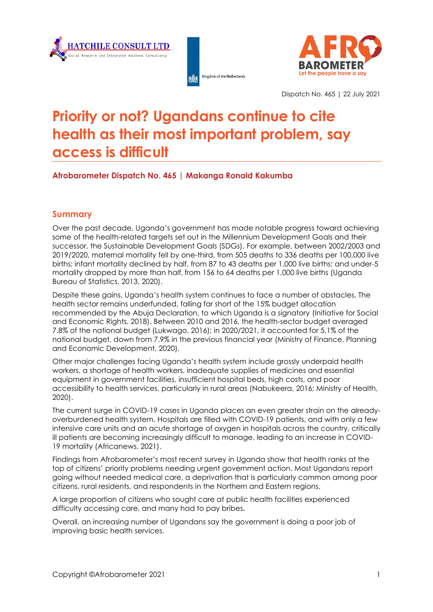





Dispatch No. 465 | 22 July 2021

# **Priority or not? Ugandans continue to cite health as their most important problem, say access is difficult**

### **Afrobarometer Dispatch No. 465 | Makanga Ronald Kakumba**

#### **Summary**

Over the past decade, Uganda's government has made notable progress toward achieving some of the health-related targets set out in the Millennium Development Goals and their successor, the Sustainable Development Goals (SDGs). For example, between 2002/2003 and 2019/2020, maternal mortality fell by one-third, from 505 deaths to 336 deaths per 100,000 live births; infant mortality declined by half, from 87 to 43 deaths per 1,000 live births; and under-5 mortality dropped by more than half**,** from 156 to 64 deaths per 1,000 live births (Uganda Bureau of Statistics, 2013, 2020).

Despite these gains, Uganda's health system continues to face a number of obstacles. The health sector remains underfunded, falling far short of the 15% budget allocation recommended by the Abuja Declaration, to which Uganda is a signatory (Initiative for Social and Economic Rights, 2018). Between 2010 and 2016, the health-sector budget averaged 7.8% of the national budget (Lukwago, 2016); in 2020/2021, it accounted for 5.1% of the national budget, down from 7.9% in the previous financial year (Ministry of Finance, Planning and Economic Development, 2020).

Other major challenges facing Uganda's health system include grossly underpaid health workers, a shortage of health workers, inadequate supplies of medicines and essential equipment in government facilities, insufficient hospital beds, high costs, and poor accessibility to health services, particularly in rural areas (Nabukeera, 2016; Ministry of Health, 2020).

The current surge in COVID-19 cases in Uganda places an even greater strain on the alreadyoverburdened health system. Hospitals are filled with COVID-19 patients, and with only a few intensive care units and an acute shortage of oxygen in hospitals across the country, critically ill patients are becoming increasingly difficult to manage, leading to an increase in COVID-19 mortality (Africanews, 2021).

Findings from Afrobarometer's most recent survey in Uganda show that health ranks at the top of citizens' priority problems needing urgent government action. Most Ugandans report going without needed medical care, a deprivation that is particularly common among poor citizens, rural residents, and respondents in the Northern and Eastern regions.

A large proportion of citizens who sought care at public health facilities experienced difficulty accessing care, and many had to pay bribes.

Overall, an increasing number of Ugandans say the government is doing a poor job of improving basic health services.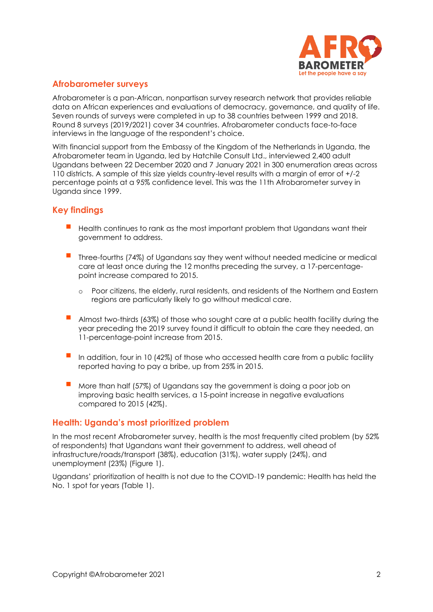

### **Afrobarometer surveys**

Afrobarometer is a pan-African, nonpartisan survey research network that provides reliable data on African experiences and evaluations of democracy, governance, and quality of life. Seven rounds of surveys were completed in up to 38 countries between 1999 and 2018. Round 8 surveys (2019/2021) cover 34 countries. Afrobarometer conducts face-to-face interviews in the language of the respondent's choice.

With financial support from the Embassy of the Kingdom of the Netherlands in Uganda, the Afrobarometer team in Uganda, led by Hatchile Consult Ltd., interviewed 2,400 adult Ugandans between 22 December 2020 and 7 January 2021 in 300 enumeration areas across 110 districts. A sample of this size yields country-level results with a margin of error of +/-2 percentage points at a 95% confidence level. This was the 11th Afrobarometer survey in Uganda since 1999.

## **Key findings**

- Health continues to rank as the most important problem that Ugandans want their government to address.
- Three-fourths (74%) of Ugandans say they went without needed medicine or medical care at least once during the 12 months preceding the survey, a 17-percentagepoint increase compared to 2015.
	- o Poor citizens, the elderly, rural residents, and residents of the Northern and Eastern regions are particularly likely to go without medical care.
- Almost two-thirds (63%) of those who sought care at a public health facility during the year preceding the 2019 survey found it difficult to obtain the care they needed, an 11-percentage-point increase from 2015.
- In addition, four in 10 (42%) of those who accessed health care from a public facility reported having to pay a bribe, up from 25% in 2015.
- $\blacksquare$  More than half (57%) of Ugandans say the government is doing a poor job on improving basic health services, a 15-point increase in negative evaluations compared to 2015 (42%).

#### **Health: Uganda's most prioritized problem**

In the most recent Afrobarometer survey, health is the most frequently cited problem (by 52% of respondents) that Ugandans want their government to address, well ahead of infrastructure/roads/transport (38%), education (31%), water supply (24%), and unemployment (23%) (Figure 1).

Ugandans' prioritization of health is not due to the COVID-19 pandemic: Health has held the No. 1 spot for years (Table 1).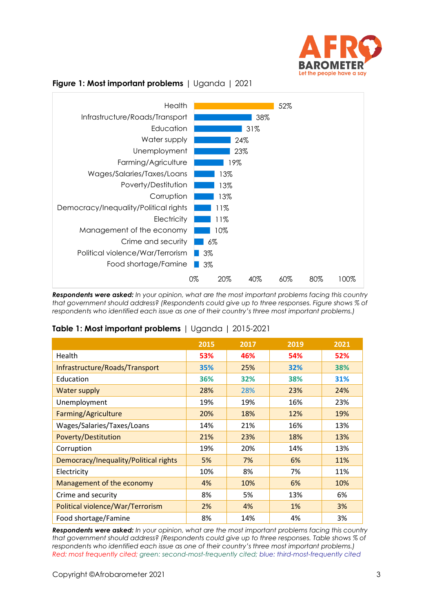



### **Figure 1: Most important problems** | Uganda | 2021

*Respondents were asked: In your opinion, what are the most important problems facing this country that government should address? (Respondents could give up to three responses. Figure shows % of respondents who identified each issue as one of their country's three most important problems.)*

|                                       | 2015 | 2017 | 2019 | 2021 |
|---------------------------------------|------|------|------|------|
| Health                                | 53%  | 46%  | 54%  | 52%  |
| Infrastructure/Roads/Transport        | 35%  | 25%  | 32%  | 38%  |
| Education                             | 36%  | 32%  | 38%  | 31%  |
| <b>Water supply</b>                   | 28%  | 28%  | 23%  | 24%  |
| Unemployment                          | 19%  | 19%  | 16%  | 23%  |
| Farming/Agriculture                   | 20%  | 18%  | 12%  | 19%  |
| Wages/Salaries/Taxes/Loans            | 14%  | 21%  | 16%  | 13%  |
| <b>Poverty/Destitution</b>            | 21%  | 23%  | 18%  | 13%  |
| Corruption                            | 19%  | 20%  | 14%  | 13%  |
| Democracy/Inequality/Political rights | 5%   | 7%   | 6%   | 11%  |
| Electricity                           | 10%  | 8%   | 7%   | 11%  |
| Management of the economy             | 4%   | 10%  | 6%   | 10%  |
| Crime and security                    | 8%   | 5%   | 13%  | 6%   |
| Political violence/War/Terrorism      | 2%   | 4%   | 1%   | 3%   |
| Food shortage/Famine                  | 8%   | 14%  | 4%   | 3%   |

#### **Table 1: Most important problems** | Uganda | 2015-2021

*Respondents were asked: In your opinion, what are the most important problems facing this country that government should address? (Respondents could give up to three responses. Table shows % of respondents who identified each issue as one of their country's three most important problems.) Red: most frequently cited; green: second-most-frequently cited; blue: third-most-frequently cited*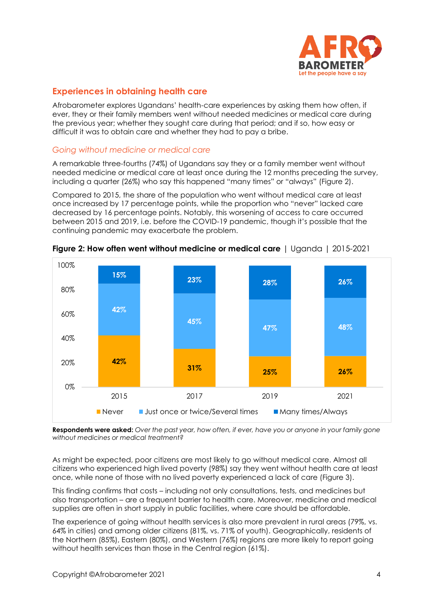

### **Experiences in obtaining health care**

Afrobarometer explores Ugandans' health-care experiences by asking them how often, if ever, they or their family members went without needed medicines or medical care during the previous year; whether they sought care during that period; and if so, how easy or difficult it was to obtain care and whether they had to pay a bribe.

#### *Going without medicine or medical care*

A remarkable three-fourths (74%) of Ugandans say they or a family member went without needed medicine or medical care at least once during the 12 months preceding the survey, including a quarter (26%) who say this happened "many times" or "always" (Figure 2).

Compared to 2015, the share of the population who went without medical care at least once increased by 17 percentage points, while the proportion who "never" lacked care decreased by 16 percentage points. Notably, this worsening of access to care occurred between 2015 and 2019, i.e. before the COVID-19 pandemic, though it's possible that the continuing pandemic may exacerbate the problem.



**Figure 2: How often went without medicine or medical care** | Uganda | 2015-2021

**Respondents were asked:** *Over the past year, how often, if ever, have you or anyone in your family gone without medicines or medical treatment?* 

As might be expected, poor citizens are most likely to go without medical care. Almost all citizens who experienced high lived poverty (98%) say they went without health care at least once, while none of those with no lived poverty experienced a lack of care (Figure 3).

This finding confirms that costs – including not only consultations, tests, and medicines but also transportation – are a frequent barrier to health care. Moreover, medicine and medical supplies are often in short supply in public facilities, where care should be affordable.

The experience of going without health services is also more prevalent in rural areas (79%, vs. 64% in cities) and among older citizens (81%, vs. 71% of youth). Geographically, residents of the Northern (85%), Eastern (80%), and Western (76%) regions are more likely to report going without health services than those in the Central region (61%).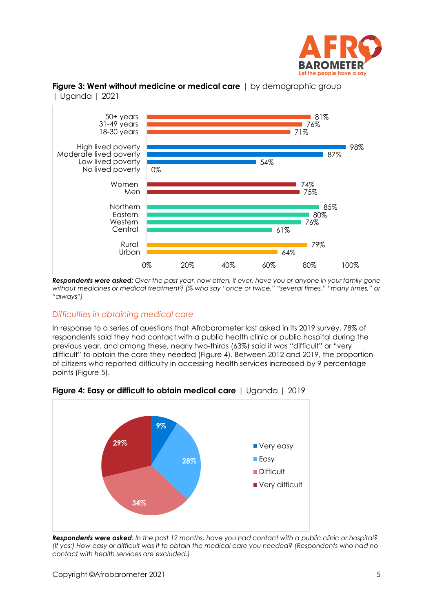



**Figure 3: Went without medicine or medical care** | by demographic group | Uganda | 2021

*Respondents were asked: Over the past year, how often, if ever, have you or anyone in your family gone without medicines or medical treatment? (% who say "once or twice," "several times," "many times," or "always")*

## *Difficulties in obtaining medical care*

In response to a series of questions that Afrobarometer last asked in its 2019 survey, 78% of respondents said they had contact with a public health clinic or public hospital during the previous year, and among these, nearly two-thirds (63%) said it was "difficult" or "very difficult" to obtain the care they needed (Figure 4). Between 2012 and 2019, the proportion of citizens who reported difficulty in accessing health services increased by 9 percentage points (Figure 5).



**Figure 4: Easy or difficult to obtain medical care** | Uganda | 2019

*Respondents were asked: In the past 12 months, have you had contact with a public clinic or hospital? (If yes:) How easy or difficult was it to obtain the medical care you needed? (Respondents who had no contact with health services are excluded.)*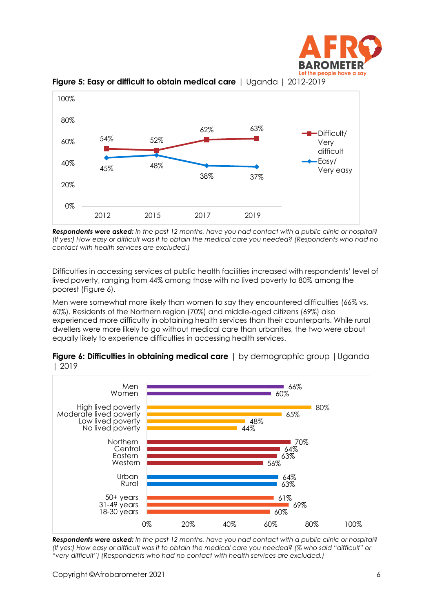



**Figure 5: Easy or difficult to obtain medical care** | Uganda | 2012-2019

*Respondents were asked: In the past 12 months, have you had contact with a public clinic or hospital? (If yes:) How easy or difficult was it to obtain the medical care you needed? (Respondents who had no contact with health services are excluded.)*

Difficulties in accessing services at public health facilities increased with respondents' level of lived poverty, ranging from 44% among those with no lived poverty to 80% among the poorest (Figure 6).

Men were somewhat more likely than women to say they encountered difficulties (66% vs. 60%). Residents of the Northern region (70%) and middle-aged citizens (69%) also experienced more difficulty in obtaining health services than their counterparts. While rural dwellers were more likely to go without medical care than urbanites, the two were about equally likely to experience difficulties in accessing health services.



**Figure 6: Difficulties in obtaining medical care** | by demographic group |Uganda | 2019

*Respondents were asked: In the past 12 months, have you had contact with a public clinic or hospital? (If yes:) How easy or difficult was it to obtain the medical care you needed? (% who said "difficult" or "very difficult") (Respondents who had no contact with health services are excluded.)*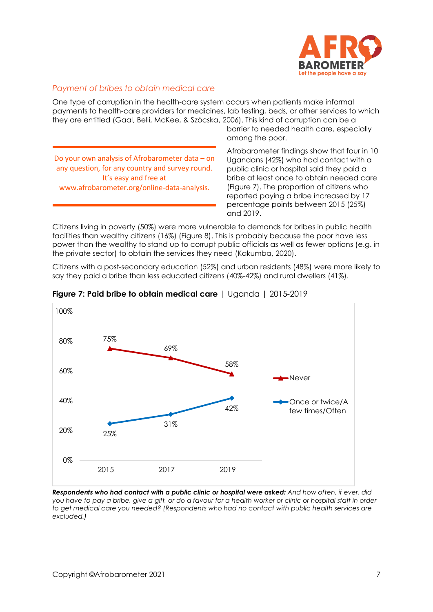

#### *Payment of bribes to obtain medical care*

One type of corruption in the health-care system occurs when patients make informal payments to health-care providers for medicines, lab testing, beds, or other services to which they are entitled (Gaal, Belli, McKee, & Szócska, 2006). This kind of corruption can be a

Do your own analysis of Afrobarometer data – on any question, for any country and survey round. It's easy and free at www.afrobarometer.org/online-data-analysis.

barrier to needed health care, especially among the poor.

Afrobarometer findings show that four in 10 Ugandans (42%) who had contact with a public clinic or hospital said they paid a bribe at least once to obtain needed care (Figure 7). The proportion of citizens who reported paying a bribe increased by 17 percentage points between 2015 (25%) and 2019.

Citizens living in poverty (50%) were more vulnerable to demands for bribes in public health facilities than wealthy citizens (16%) (Figure 8). This is probably because the poor have less power than the wealthy to stand up to corrupt public officials as well as fewer options (e.g. in the private sector) to obtain the services they need (Kakumba, 2020).

Citizens with a post-secondary education (52%) and urban residents (48%) were more likely to say they paid a bribe than less educated citizens (40%-42%) and rural dwellers (41%).



**Figure 7: Paid bribe to obtain medical care** | Uganda | 2015-2019

*Respondents who had contact with a public clinic or hospital were asked: And how often, if ever, did you have to pay a bribe, give a gift, or do a favour for a health worker or clinic or hospital staff in order to get medical care you needed? (Respondents who had no contact with public health services are excluded.)*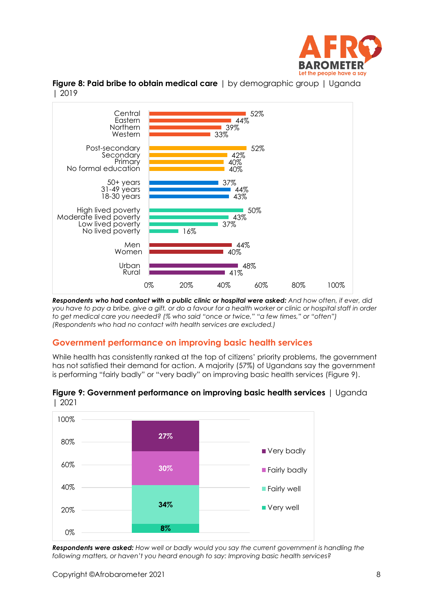





*Respondents who had contact with a public clinic or hospital were asked: And how often, if ever, did you have to pay a bribe, give a gift, or do a favour for a health worker or clinic or hospital staff in order to get medical care you needed? (% who said "once or twice," "a few times," or "often") (Respondents who had no contact with health services are excluded.)*

# **Government performance on improving basic health services**

While health has consistently ranked at the top of citizens' priority problems, the government has not satisfied their demand for action. A majority (57%) of Ugandans say the government is performing "fairly badly" or "very badly" on improving basic health services (Figure 9).





*Respondents were asked: How well or badly would you say the current government is handling the following matters, or haven't you heard enough to say: Improving basic health services?*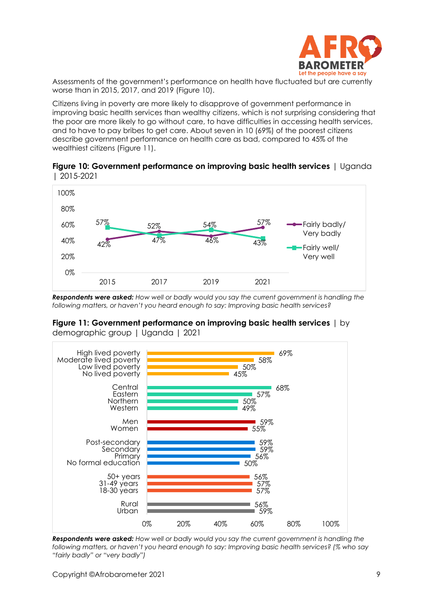

Assessments of the government's performance on health have fluctuated but are currently worse than in 2015, 2017, and 2019 (Figure 10).

Citizens living in poverty are more likely to disapprove of government performance in improving basic health services than wealthy citizens, which is not surprising considering that the poor are more likely to go without care, to have difficulties in accessing health services, and to have to pay bribes to get care. About seven in 10 (69%) of the poorest citizens describe government performance on health care as bad, compared to 45% of the wealthiest citizens (Figure 11).

**Figure 10: Government performance on improving basic health services** | Uganda | 2015-2021



*Respondents were asked: How well or badly would you say the current government is handling the following matters, or haven't you heard enough to say: Improving basic health services?*





*Respondents were asked: How well or badly would you say the current government is handling the following matters, or haven't you heard enough to say: Improving basic health services? (% who say "fairly badly" or "very badly")*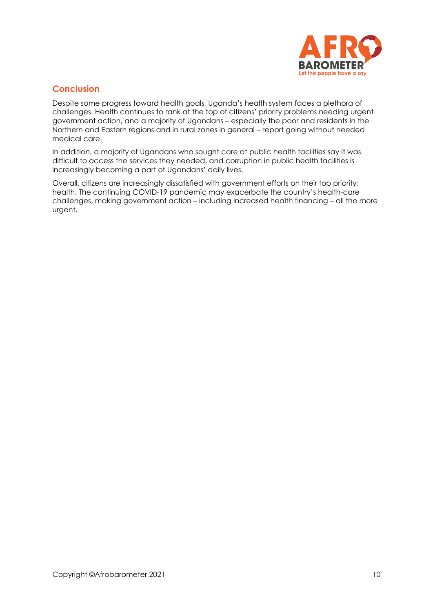

## **Conclusion**

Despite some progress toward health goals, Uganda's health system faces a plethora of challenges. Health continues to rank at the top of citizens' priority problems needing urgent government action, and a majority of Ugandans – especially the poor and residents in the Northern and Eastern regions and in rural zones in general – report going without needed medical care.

In addition, a majority of Ugandans who sought care at public health facilities say it was difficult to access the services they needed, and corruption in public health facilities is increasingly becoming a part of Ugandans' daily lives.

Overall, citizens are increasingly dissatisfied with government efforts on their top priority: health. The continuing COVID-19 pandemic may exacerbate the country's health-care challenges, making government action – including increased health financing – all the more urgent.